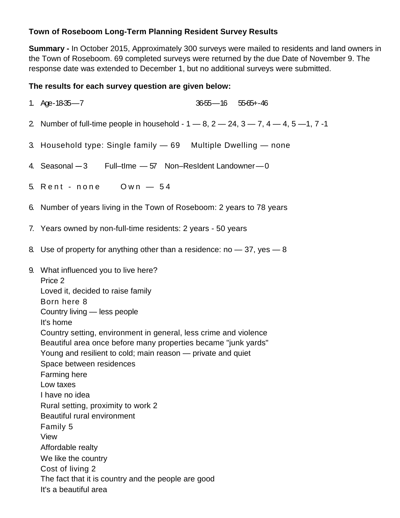## **Town of Roseboom Long-Term Planning Resident Survey Results**

**Summary -** In October 2015, Approximately 300 surveys were mailed to residents and land owners in the Town of Roseboom. 69 completed surveys were returned by the due Date of November 9. The response date was extended to December 1, but no additional surveys were submitted.

## **The results for each survey question are given below:**

| 3655-16 5565+-46<br>1. Age-18-35-7                                                                                                                                                                                                                                                                                                                                                                                                                                                                                                                                                                                                                                         |  |  |  |  |  |
|----------------------------------------------------------------------------------------------------------------------------------------------------------------------------------------------------------------------------------------------------------------------------------------------------------------------------------------------------------------------------------------------------------------------------------------------------------------------------------------------------------------------------------------------------------------------------------------------------------------------------------------------------------------------------|--|--|--|--|--|
| 2 Number of full-time people in household - $1 - 8$ , $2 - 24$ , $3 - 7$ , $4 - 4$ , $5 - 1$ , $7 - 1$                                                                                                                                                                                                                                                                                                                                                                                                                                                                                                                                                                     |  |  |  |  |  |
| 3. Household type: Single family - 69 Multiple Dwelling - none                                                                                                                                                                                                                                                                                                                                                                                                                                                                                                                                                                                                             |  |  |  |  |  |
| 4. Seasonal -3 Full-time - 57 Non-Resident Landowner-0                                                                                                                                                                                                                                                                                                                                                                                                                                                                                                                                                                                                                     |  |  |  |  |  |
| 5. Rent - none  Own - 54                                                                                                                                                                                                                                                                                                                                                                                                                                                                                                                                                                                                                                                   |  |  |  |  |  |
| 6. Number of years living in the Town of Roseboom: 2 years to 78 years                                                                                                                                                                                                                                                                                                                                                                                                                                                                                                                                                                                                     |  |  |  |  |  |
| 7. Years owned by non-full-time residents: 2 years - 50 years                                                                                                                                                                                                                                                                                                                                                                                                                                                                                                                                                                                                              |  |  |  |  |  |
| 8. Use of property for anything other than a residence: no $-37$ , yes $-8$                                                                                                                                                                                                                                                                                                                                                                                                                                                                                                                                                                                                |  |  |  |  |  |
| 9. What influenced you to live here?<br>Price 2<br>Loved it, decided to raise family<br>Born here 8<br>Country living - less people<br>It's home<br>Country setting, environment in general, less crime and violence<br>Beautiful area once before many properties became "junk yards"<br>Young and resilient to cold; main reason - private and quiet<br>Space between residences<br>Farming here<br>Low taxes<br>I have no idea<br>Rural setting, proximity to work 2<br>Beautiful rural environment<br>Family 5<br>View<br>Affordable realty<br>We like the country<br>Cost of living 2<br>The fact that it is country and the people are good<br>It's a beautiful area |  |  |  |  |  |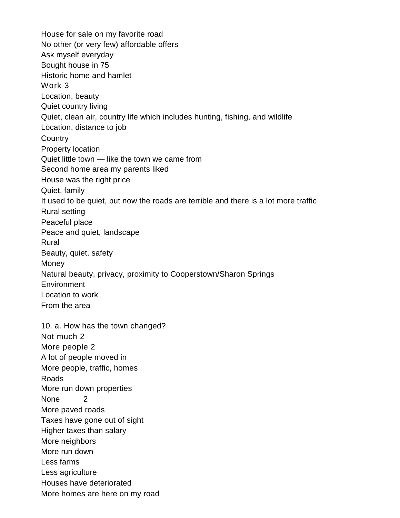House for sale on my favorite road No other (or very few) affordable offers Ask myself everyday Bought house in 75 Historic home and hamlet Work 3 Location, beauty Quiet country living Quiet, clean air, country life which includes hunting, fishing, and wildlife Location, distance to job **Country** Property location Quiet little town — like the town we came from Second home area my parents liked House was the right price Quiet, family It used to be quiet, but now the roads are terrible and there is a lot more traffic Rural setting Peaceful place Peace and quiet, landscape Rural Beauty, quiet, safety Money Natural beauty, privacy, proximity to Cooperstown/Sharon Springs **Environment** Location to work From the area 10. a. How has the town changed? Not much 2 More people 2 A lot of people moved in More people, traffic, homes Roads More run down properties None 2 More paved roads Taxes have gone out of sight Higher taxes than salary More neighbors More run down Less farms Less agriculture Houses have deteriorated More homes are here on my road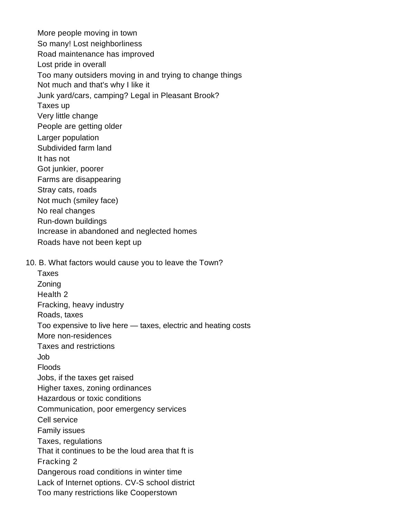More people moving in town So many! Lost neighborliness Road maintenance has improved Lost pride in overall Too many outsiders moving in and trying to change things Not much and that's why I like it Junk yard/cars, camping? Legal in Pleasant Brook? Taxes up Very little change People are getting older Larger population Subdivided farm land It has not Got junkier, poorer Farms are disappearing Stray cats, roads Not much (smiley face) No real changes Run-down buildings Increase in abandoned and neglected homes Roads have not been kept up 10. B. What factors would cause you to leave the Town? Taxes Zoning Health 2 Fracking, heavy industry Roads, taxes Too expensive to live here — taxes, electric and heating costs More non-residences Taxes and restrictions Job Floods Jobs, if the taxes get raised Higher taxes, zoning ordinances Hazardous or toxic conditions Communication, poor emergency services Cell service Family issues Taxes, regulations That it continues to be the loud area that ft is Fracking 2 Dangerous road conditions in winter time Lack of Internet options. CV-S school district Too many restrictions like Cooperstown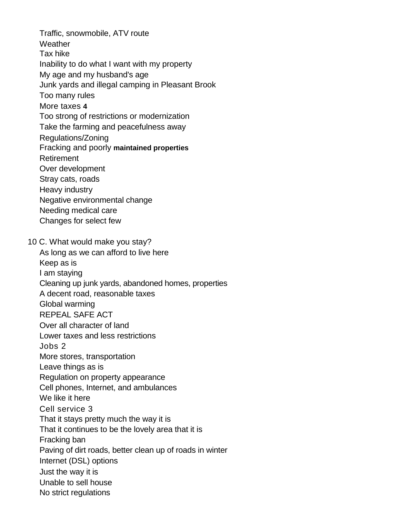Traffic, snowmobile, ATV route **Weather** Tax hike Inability to do what I want with my property My age and my husband's age Junk yards and illegal camping in Pleasant Brook Too many rules More taxes **4** Too strong of restrictions or modernization Take the farming and peacefulness away Regulations/Zoning Fracking and poorly **maintained properties** Retirement Over development Stray cats, roads Heavy industry Negative environmental change Needing medical care Changes for select few 10 C. What would make you stay? As long as we can afford to live here Keep as is I am staying Cleaning up junk yards, abandoned homes, properties A decent road, reasonable taxes Global warming REPEAL SAFE ACT Over all character of land Lower taxes and less restrictions Jobs 2 More stores, transportation Leave things as is Regulation on property appearance Cell phones, Internet, and ambulances We like it here Cell service 3 That it stays pretty much the way it is That it continues to be the lovely area that it is Fracking ban Paving of dirt roads, better clean up of roads in winter Internet (DSL) options Just the way it is Unable to sell house No strict regulations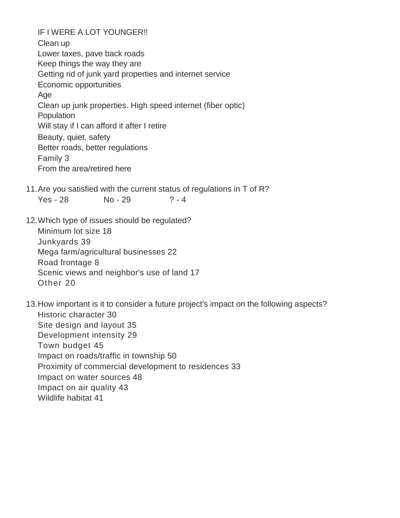IF I WERE A LOT YOUNGER!! Clean up Lower taxes, pave back roads Keep things the way they are Getting rid of junk yard properties and internet service Economic opportunities Age Clean up junk properties. High speed internet (fiber optic) **Population** Will stay if I can afford it after I retire Beauty, quiet, safety Better roads, better regulations Family 3 From the area/retired here

- 11. Are you satisfied with the current status of regulations in T of R? Yes - 28 No - 29 ? - 4
- 12. Which type of issues should be regulated?

Minimum lot size 18 Junkyards 39 Mega farm/agricultural businesses 22 Road frontage 8 Scenic views and neighbor's use of land 17 Other 20

13. How important is it to consider a future project's impact on the following aspects? Historic character 30 Site design and layout 35 Development intensity 29 Town budget 45 Impact on roads/traffic in township 50 Proximity of commercial development to residences 33 Impact on water sources 48 Impact on air quality 43 Wildlife habitat 41